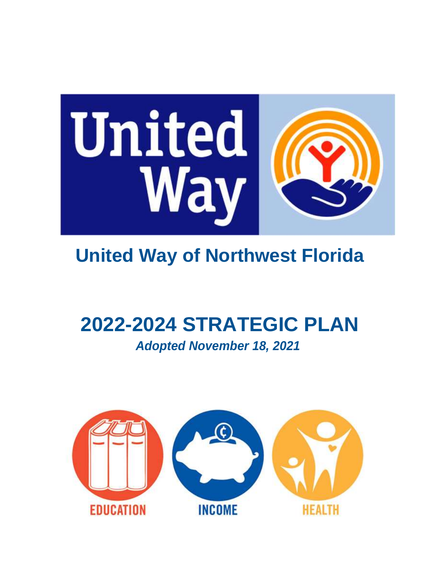

# **United Way of Northwest Florida**

# **2022-2024 STRATEGIC PLAN**

*Adopted November 18, 2021*

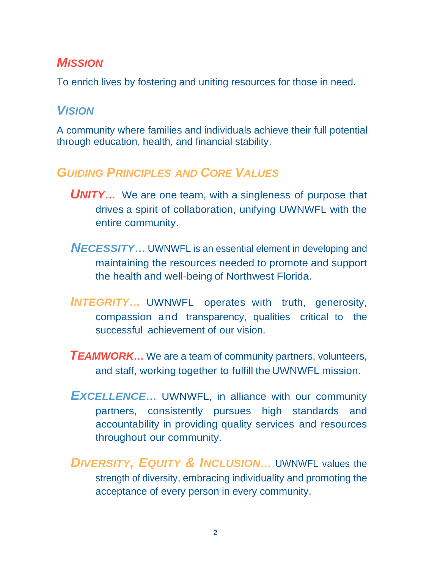# *MISSION*

To enrich lives by fostering and uniting resources for those in need.

# *VISION*

A community where families and individuals achieve their full potential through education, health, and financial stability.

# *GUIDING PRINCIPLES AND CORE VALUES*

- **UNITY...** We are one team, with a singleness of purpose that drives a spirit of collaboration, unifying UWNWFL with the entire community.
- *NECESSITY…* UWNWFL is an essential element in developing and maintaining the resources needed to promote and support the health and well-being of Northwest Florida.
- *INTEGRITY***…** UWNWFL operates with truth, generosity, compassion and transparency, qualities critical to the successful achievement of our vision.
- *TEAMWORK***…** We are a team of community partners, volunteers, and staff, working together to fulfill the UWNWFL mission.
- *EXCELLENCE***…** UWNWFL, in alliance with our community partners, consistently pursues high standards and accountability in providing quality services and resources throughout our community.
- *DIVERSITY, EQUITY & INCLUSION…* UWNWFL values the strength of diversity, embracing individuality and promoting the acceptance of every person in every community.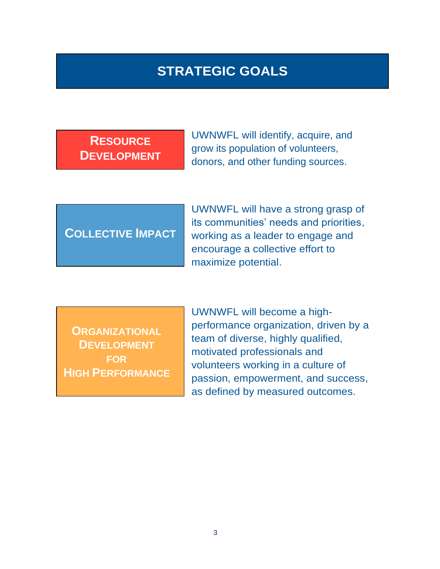# **STRATEGIC GOALS**

**RESOURCE DEVELOPMENT**

UWNWFL will identify, acquire, and grow its population of volunteers, donors, and other funding sources.

# **COLLECTIVE IMPACT**

UWNWFL will have a strong grasp of its communities' needs and priorities, working as a leader to engage and encourage a collective effort to maximize potential.

**ORGANIZATIONAL DEVELOPMENT FOR HIGH PERFORMANCE**

UWNWFL will become a highperformance organization, driven by a team of diverse, highly qualified, motivated professionals and volunteers working in a culture of passion, empowerment, and success, as defined by measured outcomes.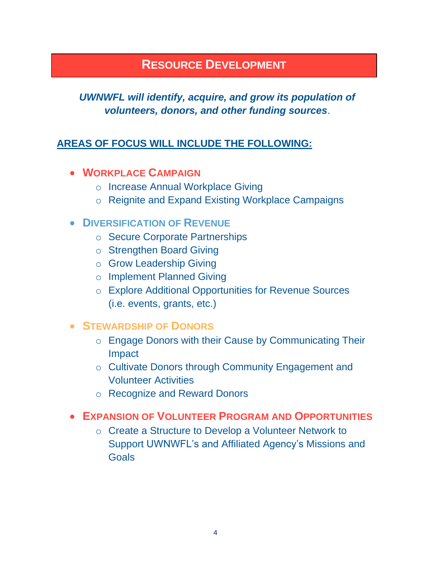### **RESOURCE DEVELOPMENT**

#### *UWNWFL will identify, acquire, and grow its population of volunteers, donors, and other funding sources*.

#### **AREAS OF FOCUS WILL INCLUDE THE FOLLOWING:**

#### • **WORKPLACE CAMPAIGN**

- o Increase Annual Workplace Giving
- o Reignite and Expand Existing Workplace Campaigns

#### • **DIVERSIFICATION OF REVENUE**

- o Secure Corporate Partnerships
- o Strengthen Board Giving
- o Grow Leadership Giving
- o Implement Planned Giving
- o Explore Additional Opportunities for Revenue Sources (i.e. events, grants, etc.)

#### • **STEWARDSHIP OF DONORS**

- o Engage Donors with their Cause by Communicating Their Impact
- o Cultivate Donors through Community Engagement and Volunteer Activities
- o Recognize and Reward Donors

#### • **EXPANSION OF VOLUNTEER PROGRAM AND OPPORTUNITIES**

o Create a Structure to Develop a Volunteer Network to Support UWNWFL's and Affiliated Agency's Missions and Goals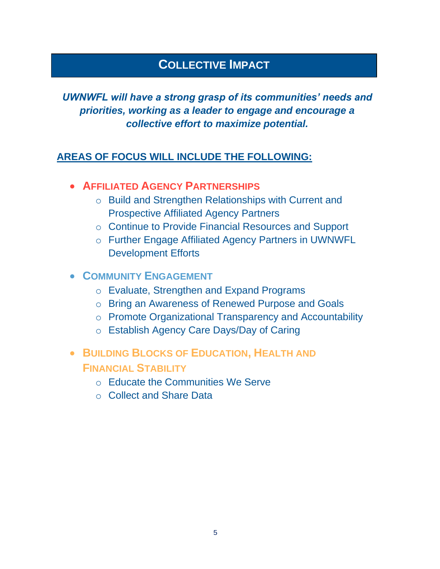# **COLLECTIVE IMPACT**

#### *UWNWFL will have a strong grasp of its communities' needs and priorities, working as a leader to engage and encourage a collective effort to maximize potential.*

#### **AREAS OF FOCUS WILL INCLUDE THE FOLLOWING:**

- **AFFILIATED AGENCY PARTNERSHIPS**
	- o Build and Strengthen Relationships with Current and Prospective Affiliated Agency Partners
	- o Continue to Provide Financial Resources and Support
	- o Further Engage Affiliated Agency Partners in UWNWFL Development Efforts

#### • **COMMUNITY ENGAGEMENT**

- o Evaluate, Strengthen and Expand Programs
- o Bring an Awareness of Renewed Purpose and Goals
- o Promote Organizational Transparency and Accountability
- o Establish Agency Care Days/Day of Caring
- **BUILDING BLOCKS OF EDUCATION, HEALTH AND FINANCIAL STABILITY**
	- o Educate the Communities We Serve
	- o Collect and Share Data